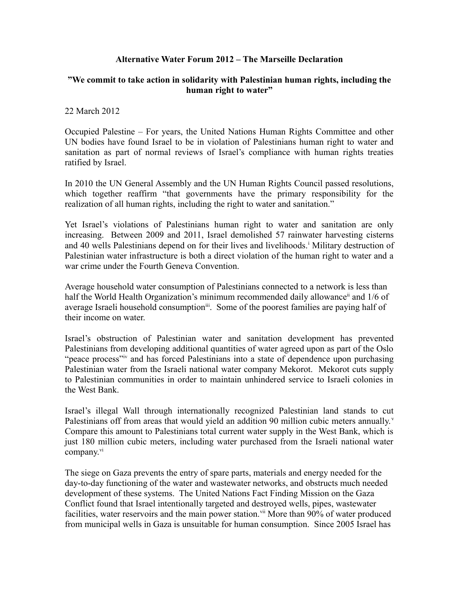## **Alternative Water Forum 2012 – The Marseille Declaration**

## **"We commit to take action in solidarity with Palestinian human rights, including the human right to water"**

## 22 March 2012

Occupied Palestine – For years, the United Nations Human Rights Committee and other UN bodies have found Israel to be in violation of Palestinians human right to water and sanitation as part of normal reviews of Israel's compliance with human rights treaties ratified by Israel.

In 2010 the UN General Assembly and the UN Human Rights Council passed resolutions, which together reaffirm "that governments have the primary responsibility for the realization of all human rights, including the right to water and sanitation."

Yet Israel's violations of Palestinians human right to water and sanitation are only increasing. Between 2009 and 2011, Israel demolished 57 rainwater harvesting cisterns and 40 wells Palest[i](#page-4-0)nians depend on for their lives and livelihoods.<sup>i</sup> Military destruction of Palestinian water infrastructure is both a direct violation of the human right to water and a war crime under the Fourth Geneva Convention.

Average household water consumption of Palestinians connected to a network is less than half the World Health Organization's minimum recommended daily allowance<sup>[ii](#page-4-1)</sup> and 1/6 of average Israeli household consumption<sup>[iii](#page-4-2)</sup>. Some of the poorest families are paying half of their income on water.

Israel's obstruction of Palestinian water and sanitation development has prevented Palestinians from developing additional quantities of water agreed upon as part of the Oslo "peace process"<sup>[iv](#page-4-3)</sup> and has forced Palestinians into a state of dependence upon purchasing Palestinian water from the Israeli national water company Mekorot. Mekorot cuts supply to Palestinian communities in order to maintain unhindered service to Israeli colonies in the West Bank.

Israel's illegal Wall through internationally recognized Palestinian land stands to cut Palestinians off from areas that would yield an addition 90 million cubic meters annually. $v$ Compare this amount to Palestinians total current water supply in the West Bank, which is just 180 million cubic meters, including water purchased from the Israeli national water company.<sup>[vi](#page-4-5)</sup>

The siege on Gaza prevents the entry of spare parts, materials and energy needed for the day-to-day functioning of the water and wastewater networks, and obstructs much needed development of these systems. The United Nations Fact Finding Mission on the Gaza Conflict found that Israel intentionally targeted and destroyed wells, pipes, wastewater facilities, water reservoirs and the main power station.<sup>[vii](#page-4-6)</sup> More than 90% of water produced from municipal wells in Gaza is unsuitable for human consumption. Since 2005 Israel has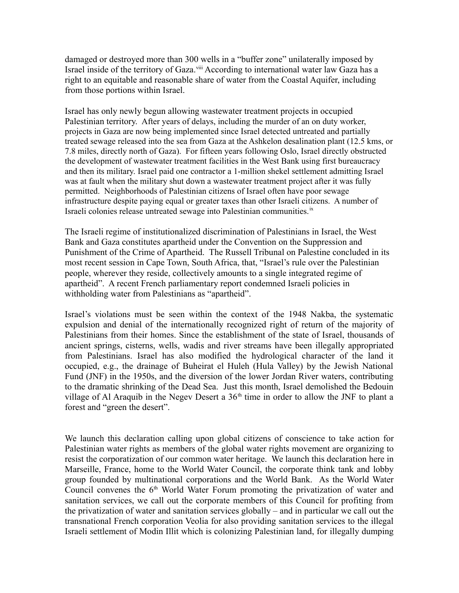damaged or destroyed more than 300 wells in a "buffer zone" unilaterally imposed by Israel inside of the territory of Gaza.<sup>[viii](#page-4-7)</sup> According to international water law Gaza has a right to an equitable and reasonable share of water from the Coastal Aquifer, including from those portions within Israel.

Israel has only newly begun allowing wastewater treatment projects in occupied Palestinian territory. After years of delays, including the murder of an on duty worker, projects in Gaza are now being implemented since Israel detected untreated and partially treated sewage released into the sea from Gaza at the Ashkelon desalination plant (12.5 kms, or 7.8 miles, directly north of Gaza). For fifteen years following Oslo, Israel directly obstructed the development of wastewater treatment facilities in the West Bank using first bureaucracy and then its military. Israel paid one contractor a 1-million shekel settlement admitting Israel was at fault when the military shut down a wastewater treatment project after it was fully permitted. Neighborhoods of Palestinian citizens of Israel often have poor sewage infrastructure despite paying equal or greater taxes than other Israeli citizens. A number of Israeli colonies release untreated sewage into Palestinian communities.<sup>[ix](#page-4-8)</sup>

The Israeli regime of institutionalized discrimination of Palestinians in Israel, the West Bank and Gaza constitutes apartheid under the Convention on the Suppression and Punishment of the Crime of Apartheid. The Russell Tribunal on Palestine concluded in its most recent session in Cape Town, South Africa, that, "Israel's rule over the Palestinian people, wherever they reside, collectively amounts to a single integrated regime of apartheid". A recent French parliamentary report condemned Israeli policies in withholding water from Palestinians as "apartheid".

Israel's violations must be seen within the context of the 1948 Nakba, the systematic expulsion and denial of the internationally recognized right of return of the majority of Palestinians from their homes. Since the establishment of the state of Israel, thousands of ancient springs, cisterns, wells, wadis and river streams have been illegally appropriated from Palestinians. Israel has also modified the hydrological character of the land it occupied, e.g., the drainage of Buheirat el Huleh (Hula Valley) by the Jewish National Fund (JNF) in the 1950s, and the diversion of the lower Jordan River waters, contributing to the dramatic shrinking of the Dead Sea. Just this month, Israel demolished the Bedouin village of Al Araquib in the Negev Desert a  $36<sup>th</sup>$  time in order to allow the JNF to plant a forest and "green the desert".

We launch this declaration calling upon global citizens of conscience to take action for Palestinian water rights as members of the global water rights movement are organizing to resist the corporatization of our common water heritage. We launch this declaration here in Marseille, France, home to the World Water Council, the corporate think tank and lobby group founded by multinational corporations and the World Bank. As the World Water Council convenes the  $6<sup>th</sup>$  World Water Forum promoting the privatization of water and sanitation services, we call out the corporate members of this Council for profiting from the privatization of water and sanitation services globally – and in particular we call out the transnational French corporation Veolia for also providing sanitation services to the illegal Israeli settlement of Modin Illit which is colonizing Palestinian land, for illegally dumping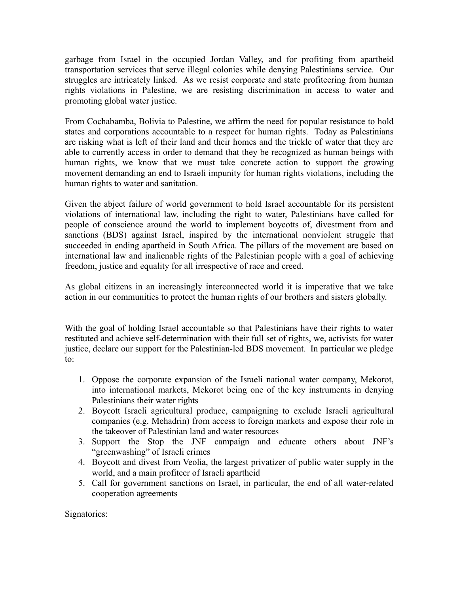garbage from Israel in the occupied Jordan Valley, and for profiting from apartheid transportation services that serve illegal colonies while denying Palestinians service. Our struggles are intricately linked. As we resist corporate and state profiteering from human rights violations in Palestine, we are resisting discrimination in access to water and promoting global water justice.

From Cochabamba, Bolivia to Palestine, we affirm the need for popular resistance to hold states and corporations accountable to a respect for human rights. Today as Palestinians are risking what is left of their land and their homes and the trickle of water that they are able to currently access in order to demand that they be recognized as human beings with human rights, we know that we must take concrete action to support the growing movement demanding an end to Israeli impunity for human rights violations, including the human rights to water and sanitation.

Given the abject failure of world government to hold Israel accountable for its persistent violations of international law, including the right to water, Palestinians have called for people of conscience around the world to implement boycotts of, divestment from and sanctions (BDS) against Israel, inspired by the international nonviolent struggle that succeeded in ending apartheid in South Africa. The pillars of the movement are based on international law and inalienable rights of the Palestinian people with a goal of achieving freedom, justice and equality for all irrespective of race and creed.

As global citizens in an increasingly interconnected world it is imperative that we take action in our communities to protect the human rights of our brothers and sisters globally.

With the goal of holding Israel accountable so that Palestinians have their rights to water restituted and achieve self-determination with their full set of rights, we, activists for water justice, declare our support for the Palestinian-led BDS movement. In particular we pledge to:

- 1. Oppose the corporate expansion of the Israeli national water company, Mekorot, into international markets, Mekorot being one of the key instruments in denying Palestinians their water rights
- 2. Boycott Israeli agricultural produce, campaigning to exclude Israeli agricultural companies (e.g. Mehadrin) from access to foreign markets and expose their role in the takeover of Palestinian land and water resources
- 3. Support the Stop the JNF campaign and educate others about JNF's "greenwashing" of Israeli crimes
- 4. Boycott and divest from Veolia, the largest privatizer of public water supply in the world, and a main profiteer of Israeli apartheid
- 5. Call for government sanctions on Israel, in particular, the end of all water-related cooperation agreements

Signatories: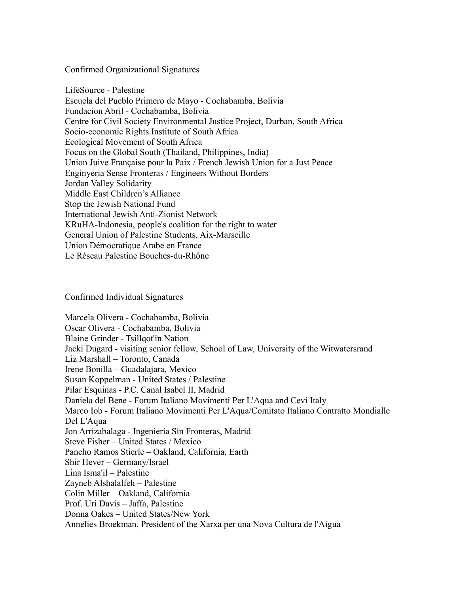Confirmed Organizational Signatures

LifeSource - Palestine Escuela del Pueblo Primero de Mayo - Cochabamba, Bolivia Fundacion Abril - Cochabamba, Bolivia Centre for Civil Society Environmental Justice Project, Durban, South Africa Socio-economic Rights Institute of South Africa Ecological Movement of South Africa Focus on the Global South (Thailand, Philippines, India) Union Juive Française pour la Paix / French Jewish Union for a Just Peace Enginyeria Sense Fronteras / Engineers Without Borders Jordan Valley Solidarity Middle East Children's Alliance Stop the Jewish National Fund International Jewish Anti-Zionist Network KRuHA-Indonesia, people's coalition for the right to water General Union of Palestine Students, Aix-Marseille Union Démocratique Arabe en France Le Réseau Palestine Bouches-du-Rhône

Confirmed Individual Signatures

Marcela Olivera - Cochabamba, Bolivia Oscar Olivera - Cochabamba, Bolivia Blaine Grinder - Tsillqot'in Nation Jacki Dugard - visiting senior fellow, School of Law, University of the Witwatersrand Liz Marshall – Toronto, Canada Irene Bonilla – Guadalajara, Mexico Susan Koppelman - United States / Palestine Pilar Esquinas - P.C. Canal Isabel II, Madrid Daniela del Bene - Forum Italiano Movimenti Per L'Aqua and Cevi Italy Marco Iob - Forum Italiano Movimenti Per L'Aqua/Comitato Italiano Contratto Mondialle Del L'Aqua Jon Arrizabalaga - Ingenieria Sin Fronteras, Madrid Steve Fisher – United States / Mexico Pancho Ramos Stierle – Oakland, California, Earth Shir Hever – Germany/Israel Lina Isma'il – Palestine Zayneb Alshalalfeh – Palestine Colin Miller – Oakland, California Prof. Uri Davis – Jaffa, Palestine Donna Oakes – United States/New York

Annelies Broekman, President of the Xarxa per una Nova Cultura de l'Aigua